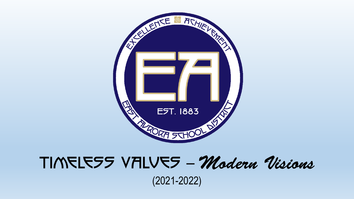

# TIMELESS VALUES - Modern Visions

(2021-2022)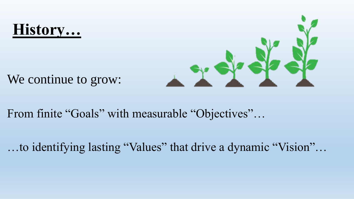### **History…**



We continue to grow:

From finite "Goals" with measurable "Objectives"…

…to identifying lasting "Values" that drive a dynamic "Vision"…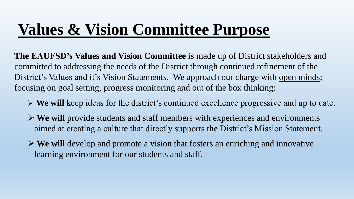### **Values & Vision Committee Purpose**

**The EAUFSD's Values and Vision Committee** is made up of District stakeholders and committed to addressing the needs of the District through continued refinement of the District's Values and it's Vision Statements. We approach our charge with open minds; focusing on goal setting, progress monitoring and out of the box thinking:

- **We will** keep ideas for the district's continued excellence progressive and up to date.
- **We will** provide students and staff members with experiences and environments aimed at creating a culture that directly supports the District's Mission Statement.
- **We will** develop and promote a vision that fosters an enriching and innovative learning environment for our students and staff.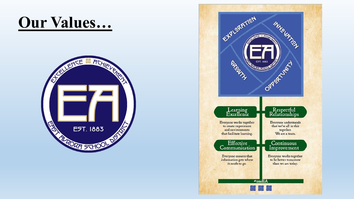## Our Values...



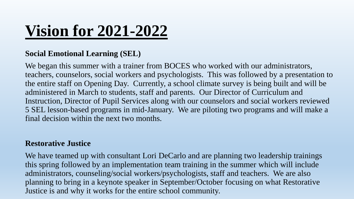# **Vision for 2021-2022**

### **Social Emotional Learning (SEL)**

We began this summer with a trainer from BOCES who worked with our administrators, teachers, counselors, social workers and psychologists. This was followed by a presentation to the entire staff on Opening Day. Currently, a school climate survey is being built and will be administered in March to students, staff and parents. Our Director of Curriculum and Instruction, Director of Pupil Services along with our counselors and social workers reviewed 5 SEL lesson-based programs in mid-January. We are piloting two programs and will make a final decision within the next two months.

#### **Restorative Justice**

We have teamed up with consultant Lori DeCarlo and are planning two leadership trainings this spring followed by an implementation team training in the summer which will include administrators, counseling/social workers/psychologists, staff and teachers. We are also planning to bring in a keynote speaker in September/October focusing on what Restorative Justice is and why it works for the entire school community.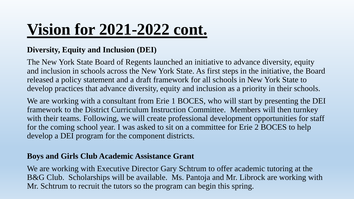## **Vision for 2021-2022 cont.**

### **Diversity, Equity and Inclusion (DEI)**

The New York State Board of Regents launched an initiative to advance diversity, equity and inclusion in schools across the New York State. As first steps in the initiative, the Board released a policy statement and a draft framework for all schools in New York State to develop practices that advance diversity, equity and inclusion as a priority in their schools.

We are working with a consultant from Erie 1 BOCES, who will start by presenting the DEI framework to the District Curriculum Instruction Committee. Members will then turnkey with their teams. Following, we will create professional development opportunities for staff for the coming school year. I was asked to sit on a committee for Erie 2 BOCES to help develop a DEI program for the component districts.

#### **Boys and Girls Club Academic Assistance Grant**

We are working with Executive Director Gary Schtrum to offer academic tutoring at the B&G Club. Scholarships will be available. Ms. Pantoja and Mr. Librock are working with Mr. Schtrum to recruit the tutors so the program can begin this spring.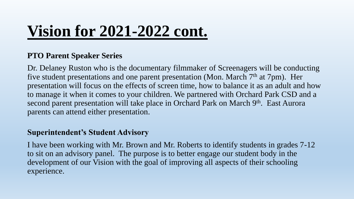## **Vision for 2021-2022 cont.**

#### **PTO Parent Speaker Series**

Dr. Delaney Ruston who is the documentary filmmaker of Screenagers will be conducting five student presentations and one parent presentation (Mon. March 7<sup>th</sup> at 7pm). Her presentation will focus on the effects of screen time, how to balance it as an adult and how to manage it when it comes to your children. We partnered with Orchard Park CSD and a second parent presentation will take place in Orchard Park on March 9<sup>th</sup>. East Aurora parents can attend either presentation.

#### **Superintendent's Student Advisory**

I have been working with Mr. Brown and Mr. Roberts to identify students in grades 7-12 to sit on an advisory panel. The purpose is to better engage our student body in the development of our Vision with the goal of improving all aspects of their schooling experience.